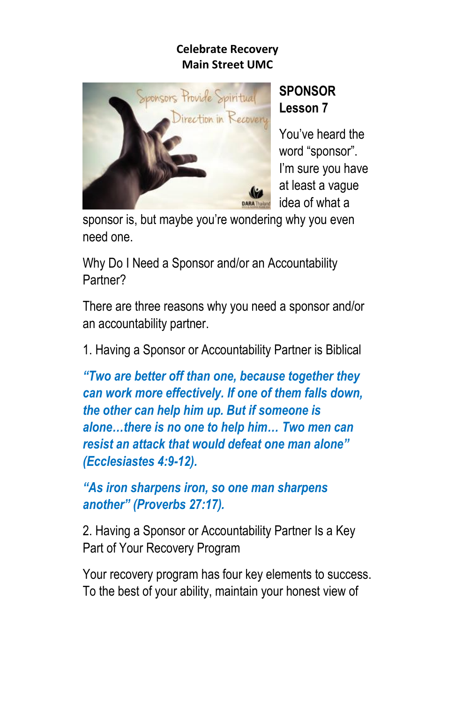

# **SPONSOR Lesson 7**

You've heard the word "sponsor". I'm sure you have at least a vague idea of what a

sponsor is, but maybe you're wondering why you even need one.

Why Do I Need a Sponsor and/or an Accountability Partner?

There are three reasons why you need a sponsor and/or an accountability partner.

1. Having a Sponsor or Accountability Partner is Biblical

*"Two are better off than one, because together they can work more effectively. If one of them falls down, the other can help him up. But if someone is alone…there is no one to help him… Two men can resist an attack that would defeat one man alone" (Ecclesiastes 4:9-12).*

*"As iron sharpens iron, so one man sharpens another" (Proverbs 27:17).*

2. Having a Sponsor or Accountability Partner Is a Key Part of Your Recovery Program

Your recovery program has four key elements to success. To the best of your ability, maintain your honest view of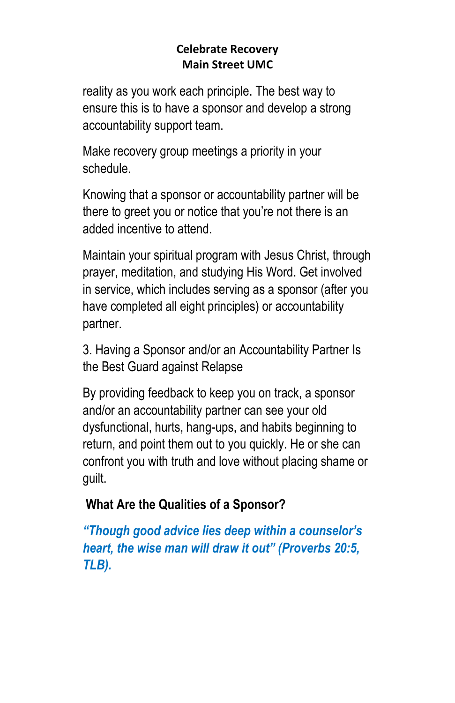reality as you work each principle. The best way to ensure this is to have a sponsor and develop a strong accountability support team.

Make recovery group meetings a priority in your schedule.

Knowing that a sponsor or accountability partner will be there to greet you or notice that you're not there is an added incentive to attend.

Maintain your spiritual program with Jesus Christ, through prayer, meditation, and studying His Word. Get involved in service, which includes serving as a sponsor (after you have completed all eight principles) or accountability partner.

3. Having a Sponsor and/or an Accountability Partner Is the Best Guard against Relapse

By providing feedback to keep you on track, a sponsor and/or an accountability partner can see your old dysfunctional, hurts, hang-ups, and habits beginning to return, and point them out to you quickly. He or she can confront you with truth and love without placing shame or guilt.

### **What Are the Qualities of a Sponsor?**

*"Though good advice lies deep within a counselor's heart, the wise man will draw it out" (Proverbs 20:5, TLB).*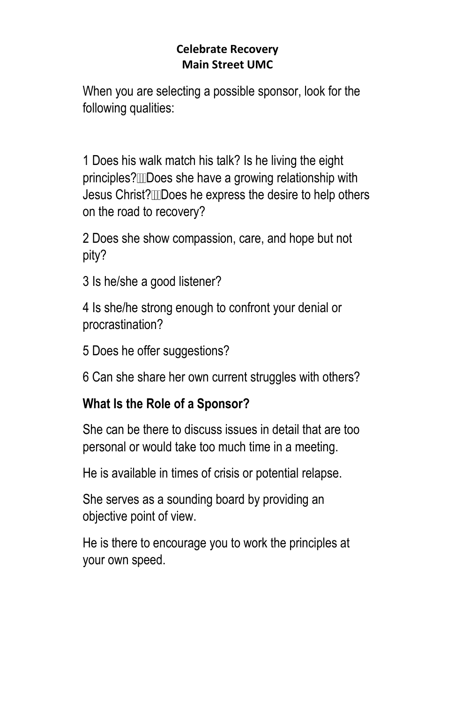When you are selecting a possible sponsor, look for the following qualities:

1 Does his walk match his talk? Is he living the eight principles? IDoes she have a growing relationship with Jesus Christ? Does he express the desire to help others on the road to recovery?

2 Does she show compassion, care, and hope but not pity?

3 Is he/she a good listener?

4 Is she/he strong enough to confront your denial or procrastination?

5 Does he offer suggestions?

6 Can she share her own current struggles with others?

### **What Is the Role of a Sponsor?**

She can be there to discuss issues in detail that are too personal or would take too much time in a meeting.

He is available in times of crisis or potential relapse.

She serves as a sounding board by providing an objective point of view.

He is there to encourage you to work the principles at your own speed.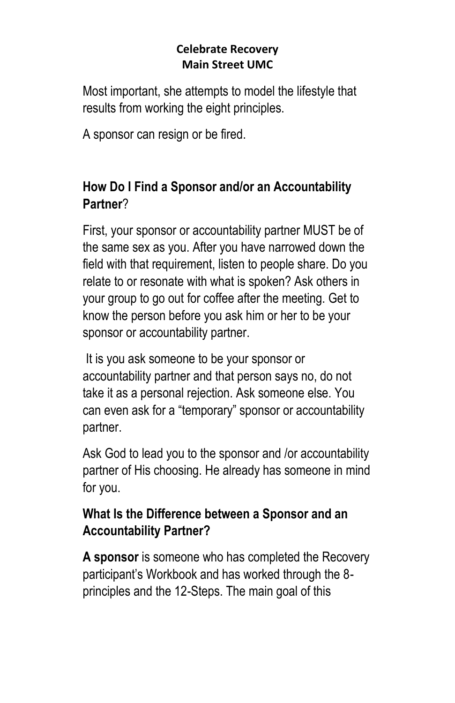Most important, she attempts to model the lifestyle that results from working the eight principles.

A sponsor can resign or be fired.

## **How Do I Find a Sponsor and/or an Accountability Partner**?

First, your sponsor or accountability partner MUST be of the same sex as you. After you have narrowed down the field with that requirement, listen to people share. Do you relate to or resonate with what is spoken? Ask others in your group to go out for coffee after the meeting. Get to know the person before you ask him or her to be your sponsor or accountability partner.

It is you ask someone to be your sponsor or accountability partner and that person says no, do not take it as a personal rejection. Ask someone else. You can even ask for a "temporary" sponsor or accountability partner.

Ask God to lead you to the sponsor and /or accountability partner of His choosing. He already has someone in mind for you.

# **What Is the Difference between a Sponsor and an Accountability Partner?**

**A sponsor** is someone who has completed the Recovery participant's Workbook and has worked through the 8 principles and the 12-Steps. The main goal of this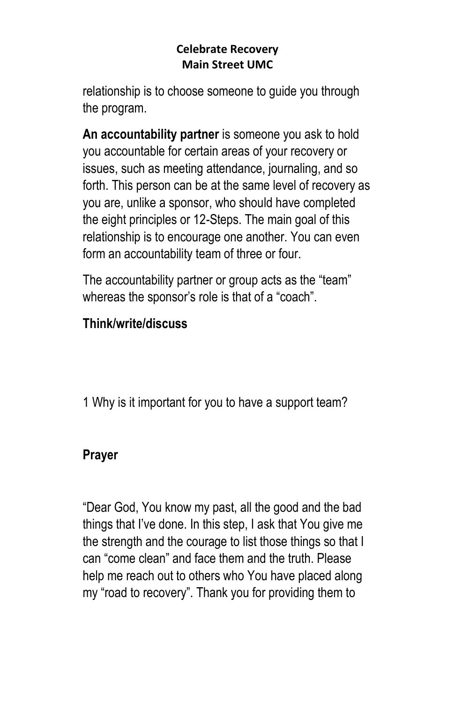relationship is to choose someone to guide you through the program.

**An accountability partner** is someone you ask to hold you accountable for certain areas of your recovery or issues, such as meeting attendance, journaling, and so forth. This person can be at the same level of recovery as you are, unlike a sponsor, who should have completed the eight principles or 12-Steps. The main goal of this relationship is to encourage one another. You can even form an accountability team of three or four.

The accountability partner or group acts as the "team" whereas the sponsor's role is that of a "coach".

### **Think/write/discuss**

1 Why is it important for you to have a support team?

### **Prayer**

"Dear God, You know my past, all the good and the bad things that I've done. In this step, I ask that You give me the strength and the courage to list those things so that I can "come clean" and face them and the truth. Please help me reach out to others who You have placed along my "road to recovery". Thank you for providing them to